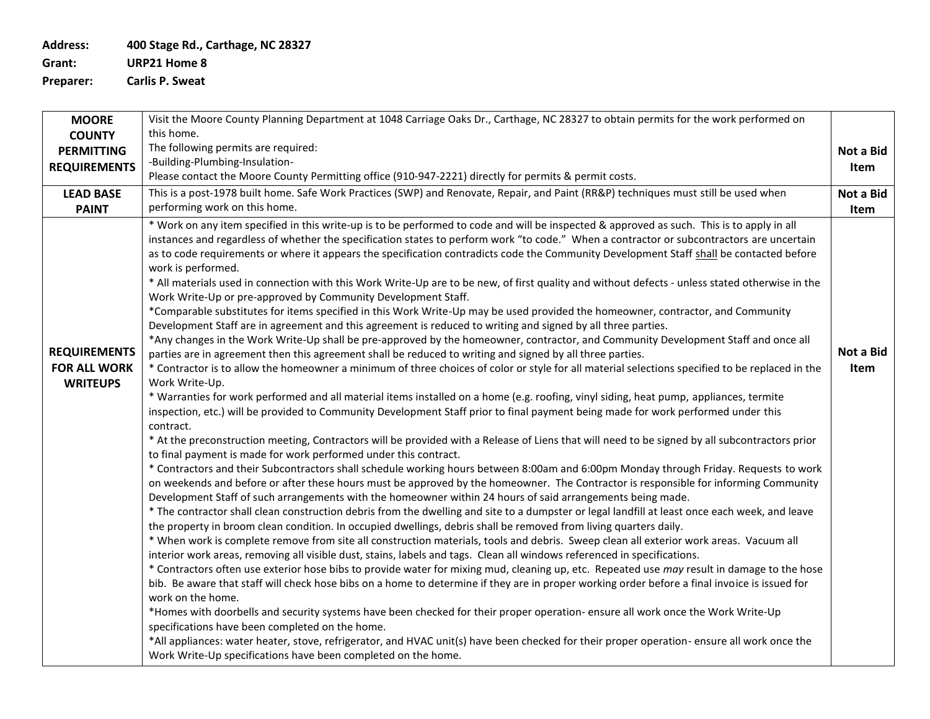**Address: 400 Stage Rd., Carthage, NC 28327**

**Grant: URP21 Home 8**

**Preparer: Carlis P. Sweat**

| <b>MOORE</b>                                                  | Visit the Moore County Planning Department at 1048 Carriage Oaks Dr., Carthage, NC 28327 to obtain permits for the work performed on                                                                                                                                                                                                                                                                                                                                                                                                                                                                                                                                                                                                                                                                                                                                                                                                                                                                                                                                                                                                                                                                                                                                                                                                                                                                                                                                                                                                                                                                                                                                                                                                                                                                                                                                                                                                                                                                                                                                                                                                                                                                                                                                                                                                                                                                                                                                                                                                                                                                                                                                                                                                                                                                                                                                                                                                                                                                                                                                                                                                                                                                                                                                                                                                                                                                                                                                                                                                              |                   |  |  |  |  |  |
|---------------------------------------------------------------|---------------------------------------------------------------------------------------------------------------------------------------------------------------------------------------------------------------------------------------------------------------------------------------------------------------------------------------------------------------------------------------------------------------------------------------------------------------------------------------------------------------------------------------------------------------------------------------------------------------------------------------------------------------------------------------------------------------------------------------------------------------------------------------------------------------------------------------------------------------------------------------------------------------------------------------------------------------------------------------------------------------------------------------------------------------------------------------------------------------------------------------------------------------------------------------------------------------------------------------------------------------------------------------------------------------------------------------------------------------------------------------------------------------------------------------------------------------------------------------------------------------------------------------------------------------------------------------------------------------------------------------------------------------------------------------------------------------------------------------------------------------------------------------------------------------------------------------------------------------------------------------------------------------------------------------------------------------------------------------------------------------------------------------------------------------------------------------------------------------------------------------------------------------------------------------------------------------------------------------------------------------------------------------------------------------------------------------------------------------------------------------------------------------------------------------------------------------------------------------------------------------------------------------------------------------------------------------------------------------------------------------------------------------------------------------------------------------------------------------------------------------------------------------------------------------------------------------------------------------------------------------------------------------------------------------------------------------------------------------------------------------------------------------------------------------------------------------------------------------------------------------------------------------------------------------------------------------------------------------------------------------------------------------------------------------------------------------------------------------------------------------------------------------------------------------------------------------------------------------------------------------------------------------------------|-------------------|--|--|--|--|--|
| <b>COUNTY</b>                                                 | this home.                                                                                                                                                                                                                                                                                                                                                                                                                                                                                                                                                                                                                                                                                                                                                                                                                                                                                                                                                                                                                                                                                                                                                                                                                                                                                                                                                                                                                                                                                                                                                                                                                                                                                                                                                                                                                                                                                                                                                                                                                                                                                                                                                                                                                                                                                                                                                                                                                                                                                                                                                                                                                                                                                                                                                                                                                                                                                                                                                                                                                                                                                                                                                                                                                                                                                                                                                                                                                                                                                                                                        |                   |  |  |  |  |  |
| <b>PERMITTING</b>                                             | The following permits are required:                                                                                                                                                                                                                                                                                                                                                                                                                                                                                                                                                                                                                                                                                                                                                                                                                                                                                                                                                                                                                                                                                                                                                                                                                                                                                                                                                                                                                                                                                                                                                                                                                                                                                                                                                                                                                                                                                                                                                                                                                                                                                                                                                                                                                                                                                                                                                                                                                                                                                                                                                                                                                                                                                                                                                                                                                                                                                                                                                                                                                                                                                                                                                                                                                                                                                                                                                                                                                                                                                                               |                   |  |  |  |  |  |
| <b>REQUIREMENTS</b>                                           | -Building-Plumbing-Insulation-                                                                                                                                                                                                                                                                                                                                                                                                                                                                                                                                                                                                                                                                                                                                                                                                                                                                                                                                                                                                                                                                                                                                                                                                                                                                                                                                                                                                                                                                                                                                                                                                                                                                                                                                                                                                                                                                                                                                                                                                                                                                                                                                                                                                                                                                                                                                                                                                                                                                                                                                                                                                                                                                                                                                                                                                                                                                                                                                                                                                                                                                                                                                                                                                                                                                                                                                                                                                                                                                                                                    | Item              |  |  |  |  |  |
|                                                               | Please contact the Moore County Permitting office (910-947-2221) directly for permits & permit costs.                                                                                                                                                                                                                                                                                                                                                                                                                                                                                                                                                                                                                                                                                                                                                                                                                                                                                                                                                                                                                                                                                                                                                                                                                                                                                                                                                                                                                                                                                                                                                                                                                                                                                                                                                                                                                                                                                                                                                                                                                                                                                                                                                                                                                                                                                                                                                                                                                                                                                                                                                                                                                                                                                                                                                                                                                                                                                                                                                                                                                                                                                                                                                                                                                                                                                                                                                                                                                                             | Not a Bid         |  |  |  |  |  |
| <b>LEAD BASE</b>                                              | This is a post-1978 built home. Safe Work Practices (SWP) and Renovate, Repair, and Paint (RR&P) techniques must still be used when                                                                                                                                                                                                                                                                                                                                                                                                                                                                                                                                                                                                                                                                                                                                                                                                                                                                                                                                                                                                                                                                                                                                                                                                                                                                                                                                                                                                                                                                                                                                                                                                                                                                                                                                                                                                                                                                                                                                                                                                                                                                                                                                                                                                                                                                                                                                                                                                                                                                                                                                                                                                                                                                                                                                                                                                                                                                                                                                                                                                                                                                                                                                                                                                                                                                                                                                                                                                               |                   |  |  |  |  |  |
| <b>PAINT</b>                                                  | performing work on this home.                                                                                                                                                                                                                                                                                                                                                                                                                                                                                                                                                                                                                                                                                                                                                                                                                                                                                                                                                                                                                                                                                                                                                                                                                                                                                                                                                                                                                                                                                                                                                                                                                                                                                                                                                                                                                                                                                                                                                                                                                                                                                                                                                                                                                                                                                                                                                                                                                                                                                                                                                                                                                                                                                                                                                                                                                                                                                                                                                                                                                                                                                                                                                                                                                                                                                                                                                                                                                                                                                                                     | Item              |  |  |  |  |  |
| <b>REQUIREMENTS</b><br><b>FOR ALL WORK</b><br><b>WRITEUPS</b> | * Work on any item specified in this write-up is to be performed to code and will be inspected & approved as such. This is to apply in all<br>instances and regardless of whether the specification states to perform work "to code." When a contractor or subcontractors are uncertain<br>as to code requirements or where it appears the specification contradicts code the Community Development Staff shall be contacted before<br>work is performed.<br>* All materials used in connection with this Work Write-Up are to be new, of first quality and without defects - unless stated otherwise in the<br>Work Write-Up or pre-approved by Community Development Staff.<br>*Comparable substitutes for items specified in this Work Write-Up may be used provided the homeowner, contractor, and Community<br>Development Staff are in agreement and this agreement is reduced to writing and signed by all three parties.<br>*Any changes in the Work Write-Up shall be pre-approved by the homeowner, contractor, and Community Development Staff and once all<br>parties are in agreement then this agreement shall be reduced to writing and signed by all three parties.<br>* Contractor is to allow the homeowner a minimum of three choices of color or style for all material selections specified to be replaced in the<br>Work Write-Up.<br>* Warranties for work performed and all material items installed on a home (e.g. roofing, vinyl siding, heat pump, appliances, termite<br>inspection, etc.) will be provided to Community Development Staff prior to final payment being made for work performed under this<br>contract.<br>* At the preconstruction meeting, Contractors will be provided with a Release of Liens that will need to be signed by all subcontractors prior<br>to final payment is made for work performed under this contract.<br>* Contractors and their Subcontractors shall schedule working hours between 8:00am and 6:00pm Monday through Friday. Requests to work<br>on weekends and before or after these hours must be approved by the homeowner. The Contractor is responsible for informing Community<br>Development Staff of such arrangements with the homeowner within 24 hours of said arrangements being made.<br>* The contractor shall clean construction debris from the dwelling and site to a dumpster or legal landfill at least once each week, and leave<br>the property in broom clean condition. In occupied dwellings, debris shall be removed from living quarters daily.<br>* When work is complete remove from site all construction materials, tools and debris. Sweep clean all exterior work areas. Vacuum all<br>interior work areas, removing all visible dust, stains, labels and tags. Clean all windows referenced in specifications.<br>* Contractors often use exterior hose bibs to provide water for mixing mud, cleaning up, etc. Repeated use may result in damage to the hose<br>bib. Be aware that staff will check hose bibs on a home to determine if they are in proper working order before a final invoice is issued for<br>work on the home.<br>*Homes with doorbells and security systems have been checked for their proper operation- ensure all work once the Work Write-Up<br>specifications have been completed on the home.<br>*All appliances: water heater, stove, refrigerator, and HVAC unit(s) have been checked for their proper operation- ensure all work once the<br>Work Write-Up specifications have been completed on the home. | Not a Bid<br>Item |  |  |  |  |  |